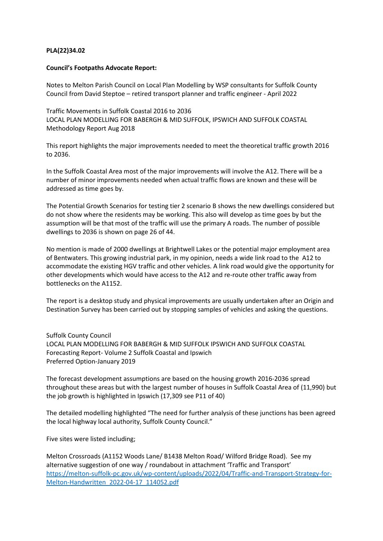## **PLA(22)34.02**

## **Council's Footpaths Advocate Report:**

Notes to Melton Parish Council on Local Plan Modelling by WSP consultants for Suffolk County Council from David Steptoe – retired transport planner and traffic engineer - April 2022

Traffic Movements in Suffolk Coastal 2016 to 2036 LOCAL PLAN MODELLING FOR BABERGH & MID SUFFOLK, IPSWICH AND SUFFOLK COASTAL Methodology Report Aug 2018

This report highlights the major improvements needed to meet the theoretical traffic growth 2016 to 2036.

In the Suffolk Coastal Area most of the major improvements will involve the A12. There will be a number of minor improvements needed when actual traffic flows are known and these will be addressed as time goes by.

The Potential Growth Scenarios for testing tier 2 scenario B shows the new dwellings considered but do not show where the residents may be working. This also will develop as time goes by but the assumption will be that most of the traffic will use the primary A roads. The number of possible dwellings to 2036 is shown on page 26 of 44.

No mention is made of 2000 dwellings at Brightwell Lakes or the potential major employment area of Bentwaters. This growing industrial park, in my opinion, needs a wide link road to the A12 to accommodate the existing HGV traffic and other vehicles. A link road would give the opportunity for other developments which would have access to the A12 and re-route other traffic away from bottlenecks on the A1152.

The report is a desktop study and physical improvements are usually undertaken after an Origin and Destination Survey has been carried out by stopping samples of vehicles and asking the questions.

Suffolk County Council LOCAL PLAN MODELLING FOR BABERGH & MID SUFFOLK IPSWICH AND SUFFOLK COASTAL Forecasting Report- Volume 2 Suffolk Coastal and Ipswich Preferred Option-January 2019

The forecast development assumptions are based on the housing growth 2016-2036 spread throughout these areas but with the largest number of houses in Suffolk Coastal Area of (11,990) but the job growth is highlighted in Ipswich (17,309 see P11 of 40)

The detailed modelling highlighted "The need for further analysis of these junctions has been agreed the local highway local authority, Suffolk County Council."

Five sites were listed including;

Melton Crossroads (A1152 Woods Lane/ B1438 Melton Road/ Wilford Bridge Road). See my alternative suggestion of one way / roundabout in attachment 'Traffic and Transport' [https://melton-suffolk-pc.gov.uk/wp-content/uploads/2022/04/Traffic-and-Transport-Strategy-for-](https://melton-suffolk-pc.gov.uk/wp-content/uploads/2022/04/Traffic-and-Transport-Strategy-for-Melton-Handwritten_2022-04-17_114052.pdf)[Melton-Handwritten\\_2022-04-17\\_114052.pdf](https://melton-suffolk-pc.gov.uk/wp-content/uploads/2022/04/Traffic-and-Transport-Strategy-for-Melton-Handwritten_2022-04-17_114052.pdf)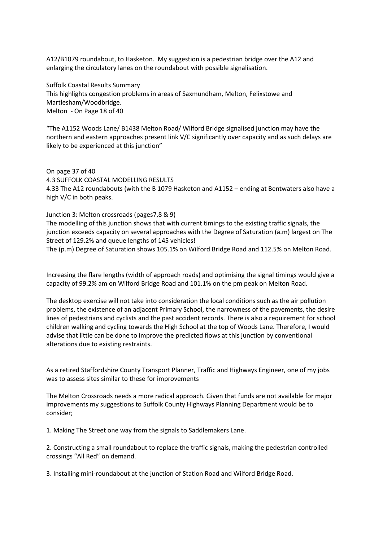A12/B1079 roundabout, to Hasketon. My suggestion is a pedestrian bridge over the A12 and enlarging the circulatory lanes on the roundabout with possible signalisation.

Suffolk Coastal Results Summary This highlights congestion problems in areas of Saxmundham, Melton, Felixstowe and Martlesham/Woodbridge. Melton - On Page 18 of 40

"The A1152 Woods Lane/ B1438 Melton Road/ Wilford Bridge signalised junction may have the northern and eastern approaches present link V/C significantly over capacity and as such delays are likely to be experienced at this junction"

On page 37 of 40 4.3 SUFFOLK COASTAL MODELLING RESULTS 4.33 The A12 roundabouts (with the B 1079 Hasketon and A1152 – ending at Bentwaters also have a high V/C in both peaks.

Junction 3: Melton crossroads (pages7,8 & 9)

The modelling of this junction shows that with current timings to the existing traffic signals, the junction exceeds capacity on several approaches with the Degree of Saturation (a.m) largest on The Street of 129.2% and queue lengths of 145 vehicles!

The (p.m) Degree of Saturation shows 105.1% on Wilford Bridge Road and 112.5% on Melton Road.

Increasing the flare lengths (width of approach roads) and optimising the signal timings would give a capacity of 99.2% am on Wilford Bridge Road and 101.1% on the pm peak on Melton Road.

The desktop exercise will not take into consideration the local conditions such as the air pollution problems, the existence of an adjacent Primary School, the narrowness of the pavements, the desire lines of pedestrians and cyclists and the past accident records. There is also a requirement for school children walking and cycling towards the High School at the top of Woods Lane. Therefore, I would advise that little can be done to improve the predicted flows at this junction by conventional alterations due to existing restraints.

As a retired Staffordshire County Transport Planner, Traffic and Highways Engineer, one of my jobs was to assess sites similar to these for improvements

The Melton Crossroads needs a more radical approach. Given that funds are not available for major improvements my suggestions to Suffolk County Highways Planning Department would be to consider;

1. Making The Street one way from the signals to Saddlemakers Lane.

2. Constructing a small roundabout to replace the traffic signals, making the pedestrian controlled crossings "All Red" on demand.

3. Installing mini-roundabout at the junction of Station Road and Wilford Bridge Road.